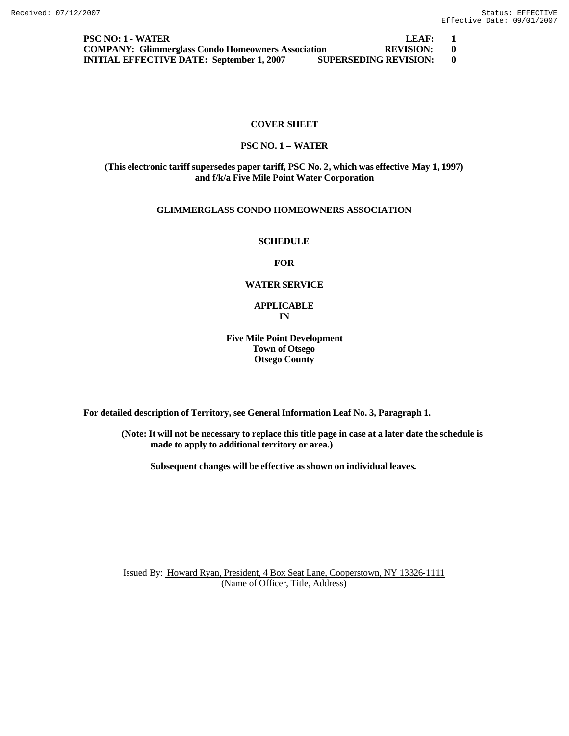**PSC NO: 1 - WATER LEAF: 1 COMPANY: Glimmerglass Condo Homeowners Association REVISION: 0 INITIAL EFFECTIVE DATE: September 1, 2007 SUPERSEDING REVISION: 0**

# **COVER SHEET**

### **PSC NO. 1 – WATER**

### **(This electronic tariff supersedes paper tariff, PSC No. 2, which was effective May 1, 1997) and f/k/a Five Mile Point Water Corporation**

# **GLIMMERGLASS CONDO HOMEOWNERS ASSOCIATION**

#### **SCHEDULE**

# **FOR**

### **WATER SERVICE**

### **APPLICABLE IN**

# **Five Mile Point Development Town of Otsego Otsego County**

**For detailed description of Territory, see General Information Leaf No. 3, Paragraph 1.**

**(Note: It will not be necessary to replace this title page in case at a later date the schedule is made to apply to additional territory or area.)**

**Subsequent changes will be effective as shown on individual leaves.**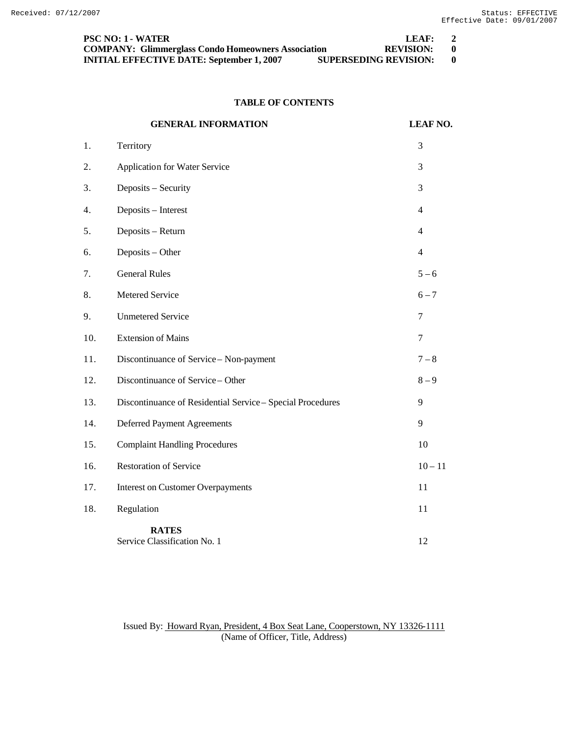| <b>PSC NO: 1 - WATER</b>                                  | LEAF:                        | $\overline{2}$ |
|-----------------------------------------------------------|------------------------------|----------------|
| <b>COMPANY: Glimmerglass Condo Homeowners Association</b> | REVISION:                    |                |
| <b>INITIAL EFFECTIVE DATE: September 1, 2007</b>          | <b>SUPERSEDING REVISION:</b> |                |

# **TABLE OF CONTENTS**

|     | <b>GENERAL INFORMATION</b>                                 | <b>LEAF NO.</b>  |
|-----|------------------------------------------------------------|------------------|
| 1.  | Territory                                                  | 3                |
| 2.  | Application for Water Service                              | 3                |
| 3.  | Deposits - Security                                        | 3                |
| 4.  | Deposits - Interest                                        | $\overline{4}$   |
| 5.  | Deposits - Return                                          | $\overline{4}$   |
| 6.  | Deposits - Other                                           | $\overline{4}$   |
| 7.  | <b>General Rules</b>                                       | $5 - 6$          |
| 8.  | Metered Service                                            | $6 - 7$          |
| 9.  | <b>Unmetered Service</b>                                   | $\boldsymbol{7}$ |
| 10. | <b>Extension of Mains</b>                                  | $\tau$           |
| 11. | Discontinuance of Service - Non-payment                    | $7 - 8$          |
| 12. | Discontinuance of Service - Other                          | $8 - 9$          |
| 13. | Discontinuance of Residential Service - Special Procedures | 9                |
| 14. | <b>Deferred Payment Agreements</b>                         | 9                |
| 15. | <b>Complaint Handling Procedures</b>                       | 10               |
| 16. | <b>Restoration of Service</b>                              | $10 - 11$        |
| 17. | <b>Interest on Customer Overpayments</b>                   | 11               |
| 18. | Regulation                                                 | 11               |
|     | <b>RATES</b><br>Service Classification No. 1               | 12               |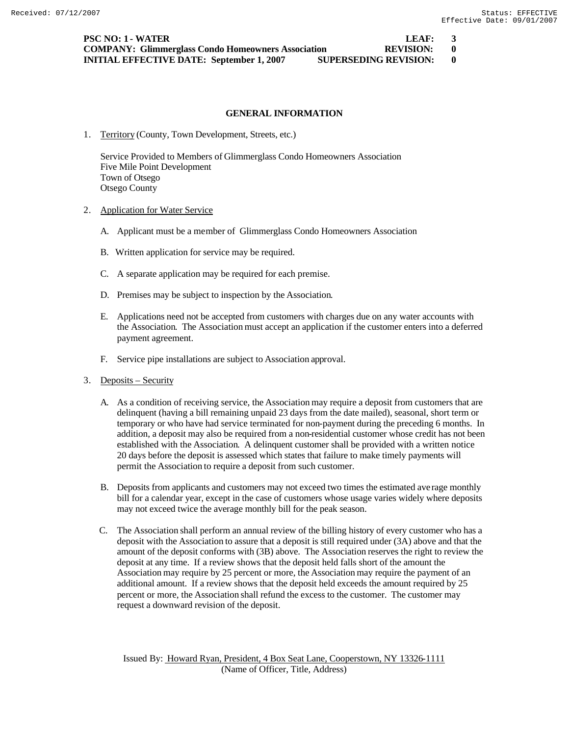**PSC NO: 1 - WATER LEAF:** 3 **COMPANY: Glimmerglass Condo Homeowners Association REVISION: 0 INITIAL EFFECTIVE DATE: September 1, 2007 SUPERSEDING REVISION: 0**

### **GENERAL INFORMATION**

1. Territory (County, Town Development, Streets, etc.)

Service Provided to Members of Glimmerglass Condo Homeowners Association Five Mile Point Development Town of Otsego Otsego County

- 2. Application for Water Service
	- A. Applicant must be a member of Glimmerglass Condo Homeowners Association
	- B. Written application for service may be required.
	- C. A separate application may be required for each premise.
	- D. Premises may be subject to inspection by the Association.
	- E. Applications need not be accepted from customers with charges due on any water accounts with the Association. The Association must accept an application if the customer enters into a deferred payment agreement.
	- F. Service pipe installations are subject to Association approval.
- 3. Deposits Security
	- A. As a condition of receiving service, the Association may require a deposit from customers that are delinquent (having a bill remaining unpaid 23 days from the date mailed), seasonal, short term or temporary or who have had service terminated for non-payment during the preceding 6 months. In addition, a deposit may also be required from a non-residential customer whose credit has not been established with the Association. A delinquent customer shall be provided with a written notice 20 days before the deposit is assessed which states that failure to make timely payments will permit the Association to require a deposit from such customer.
	- B. Deposits from applicants and customers may not exceed two times the estimated average monthly bill for a calendar year, except in the case of customers whose usage varies widely where deposits may not exceed twice the average monthly bill for the peak season.
	- C. The Association shall perform an annual review of the billing history of every customer who has a deposit with the Association to assure that a deposit is still required under (3A) above and that the amount of the deposit conforms with (3B) above. The Association reserves the right to review the deposit at any time. If a review shows that the deposit held falls short of the amount the Association may require by 25 percent or more, the Association may require the payment of an additional amount. If a review shows that the deposit held exceeds the amount required by 25 percent or more, the Association shall refund the excess to the customer. The customer may request a downward revision of the deposit.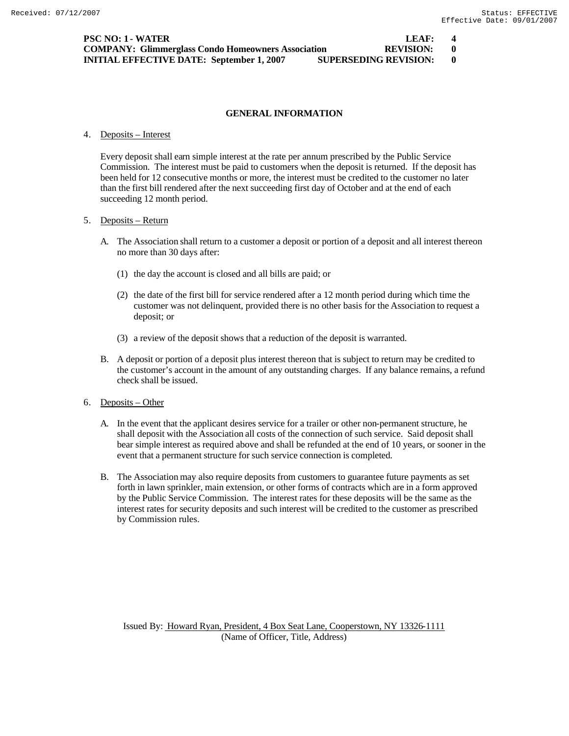| <b>PSC NO: 1 - WATER</b>                                                         | LEAF:            | $\mathbf{A}$ |
|----------------------------------------------------------------------------------|------------------|--------------|
| <b>COMPANY: Glimmerglass Condo Homeowners Association</b>                        | <b>REVISION:</b> |              |
| <b>SUPERSEDING REVISION:</b><br><b>INITIAL EFFECTIVE DATE: September 1, 2007</b> |                  |              |

### 4. Deposits – Interest

Every deposit shall earn simple interest at the rate per annum prescribed by the Public Service Commission. The interest must be paid to customers when the deposit is returned. If the deposit has been held for 12 consecutive months or more, the interest must be credited to the customer no later than the first bill rendered after the next succeeding first day of October and at the end of each succeeding 12 month period.

### 5. Deposits – Return

- A. The Association shall return to a customer a deposit or portion of a deposit and all interest thereon no more than 30 days after:
	- (1) the day the account is closed and all bills are paid; or
	- (2) the date of the first bill for service rendered after a 12 month period during which time the customer was not delinquent, provided there is no other basis for the Association to request a deposit; or
	- (3) a review of the deposit shows that a reduction of the deposit is warranted.
- B. A deposit or portion of a deposit plus interest thereon that is subject to return may be credited to the customer's account in the amount of any outstanding charges. If any balance remains, a refund check shall be issued.
- 6. Deposits Other
	- A. In the event that the applicant desires service for a trailer or other non-permanent structure, he shall deposit with the Association all costs of the connection of such service. Said deposit shall bear simple interest as required above and shall be refunded at the end of 10 years, or sooner in the event that a permanent structure for such service connection is completed.
	- B. The Association may also require deposits from customers to guarantee future payments as set forth in lawn sprinkler, main extension, or other forms of contracts which are in a form approved by the Public Service Commission. The interest rates for these deposits will be the same as the interest rates for security deposits and such interest will be credited to the customer as prescribed by Commission rules.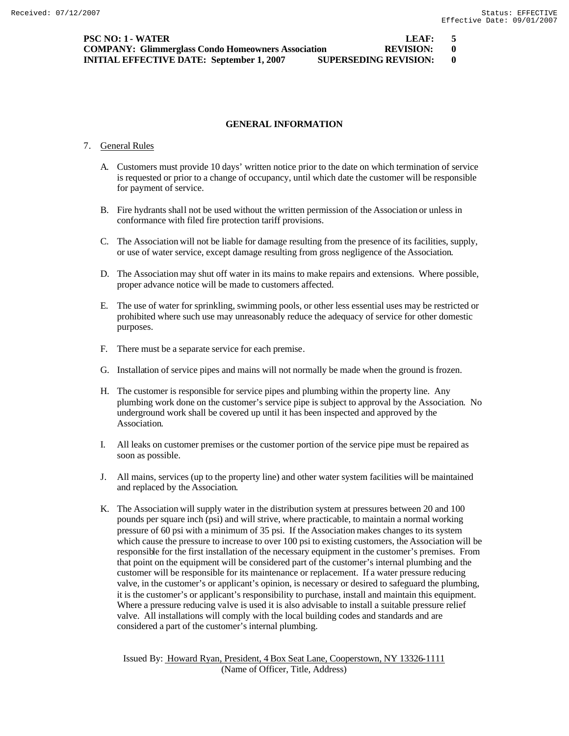**PSC NO: 1 - WATER LEAF: 5 COMPANY: Glimmerglass Condo Homeowners Association REVISION: 0 INITIAL EFFECTIVE DATE: September 1, 2007 SUPERSEDING REVISION: 0**

### **GENERAL INFORMATION**

#### 7. General Rules

- A. Customers must provide 10 days' written notice prior to the date on which termination of service is requested or prior to a change of occupancy, until which date the customer will be responsible for payment of service.
- B. Fire hydrants shall not be used without the written permission of the Association or unless in conformance with filed fire protection tariff provisions.
- C. The Association will not be liable for damage resulting from the presence of its facilities, supply, or use of water service, except damage resulting from gross negligence of the Association.
- D. The Association may shut off water in its mains to make repairs and extensions. Where possible, proper advance notice will be made to customers affected.
- E. The use of water for sprinkling, swimming pools, or other less essential uses may be restricted or prohibited where such use may unreasonably reduce the adequacy of service for other domestic purposes.
- F. There must be a separate service for each premise.
- G. Installation of service pipes and mains will not normally be made when the ground is frozen.
- H. The customer is responsible for service pipes and plumbing within the property line. Any plumbing work done on the customer's service pipe is subject to approval by the Association. No underground work shall be covered up until it has been inspected and approved by the Association.
- I. All leaks on customer premises or the customer portion of the service pipe must be repaired as soon as possible.
- J. All mains, services (up to the property line) and other water system facilities will be maintained and replaced by the Association.
- K. The Association will supply water in the distribution system at pressures between 20 and 100 pounds per square inch (psi) and will strive, where practicable, to maintain a normal working pressure of 60 psi with a minimum of 35 psi. If the Association makes changes to its system which cause the pressure to increase to over 100 psi to existing customers, the Association will be responsible for the first installation of the necessary equipment in the customer's premises. From that point on the equipment will be considered part of the customer's internal plumbing and the customer will be responsible for its maintenance or replacement. If a water pressure reducing valve, in the customer's or applicant's opinion, is necessary or desired to safeguard the plumbing, it is the customer's or applicant's responsibility to purchase, install and maintain this equipment. Where a pressure reducing valve is used it is also advisable to install a suitable pressure relief valve. All installations will comply with the local building codes and standards and are considered a part of the customer's internal plumbing.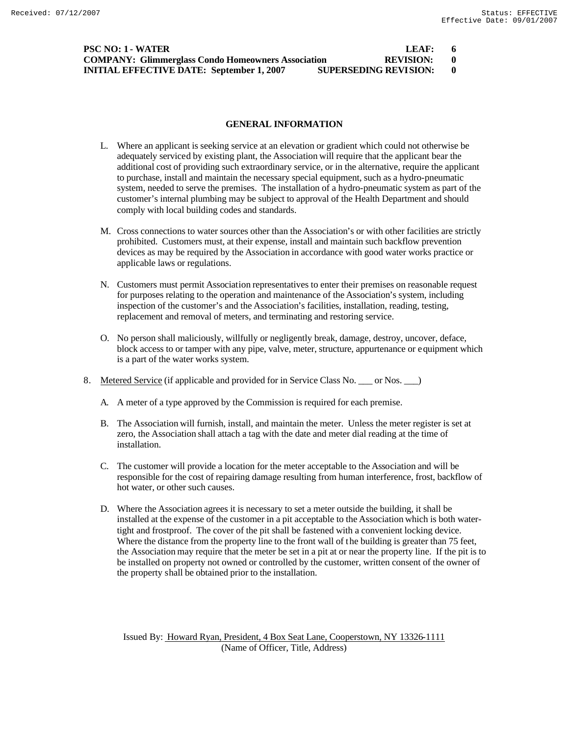| <b>PSC NO: 1 - WATER</b>                                                         | LEAF:     | - 6 |
|----------------------------------------------------------------------------------|-----------|-----|
| <b>COMPANY: Glimmerglass Condo Homeowners Association</b>                        | REVISION: |     |
| <b>SUPERSEDING REVISION:</b><br><b>INITIAL EFFECTIVE DATE: September 1, 2007</b> |           |     |

- L. Where an applicant is seeking service at an elevation or gradient which could not otherwise be adequately serviced by existing plant, the Association will require that the applicant bear the additional cost of providing such extraordinary service, or in the alternative, require the applicant to purchase, install and maintain the necessary special equipment, such as a hydro-pneumatic system, needed to serve the premises. The installation of a hydro-pneumatic system as part of the customer's internal plumbing may be subject to approval of the Health Department and should comply with local building codes and standards.
- M. Cross connections to water sources other than the Association's or with other facilities are strictly prohibited. Customers must, at their expense, install and maintain such backflow prevention devices as may be required by the Association in accordance with good water works practice or applicable laws or regulations.
- N. Customers must permit Association representatives to enter their premises on reasonable request for purposes relating to the operation and maintenance of the Association's system, including inspection of the customer's and the Association's facilities, installation, reading, testing, replacement and removal of meters, and terminating and restoring service.
- O. No person shall maliciously, willfully or negligently break, damage, destroy, uncover, deface, block access to or tamper with any pipe, valve, meter, structure, appurtenance or equipment which is a part of the water works system.
- 8. Metered Service (if applicable and provided for in Service Class No. \_\_\_ or Nos. \_\_ )
	- A. A meter of a type approved by the Commission is required for each premise.
	- B. The Association will furnish, install, and maintain the meter. Unless the meter register is set at zero, the Association shall attach a tag with the date and meter dial reading at the time of installation.
	- C. The customer will provide a location for the meter acceptable to the Association and will be responsible for the cost of repairing damage resulting from human interference, frost, backflow of hot water, or other such causes.
	- D. Where the Association agrees it is necessary to set a meter outside the building, it shall be installed at the expense of the customer in a pit acceptable to the Association which is both watertight and frostproof. The cover of the pit shall be fastened with a convenient locking device. Where the distance from the property line to the front wall of the building is greater than 75 feet, the Association may require that the meter be set in a pit at or near the property line. If the pit is to be installed on property not owned or controlled by the customer, written consent of the owner of the property shall be obtained prior to the installation.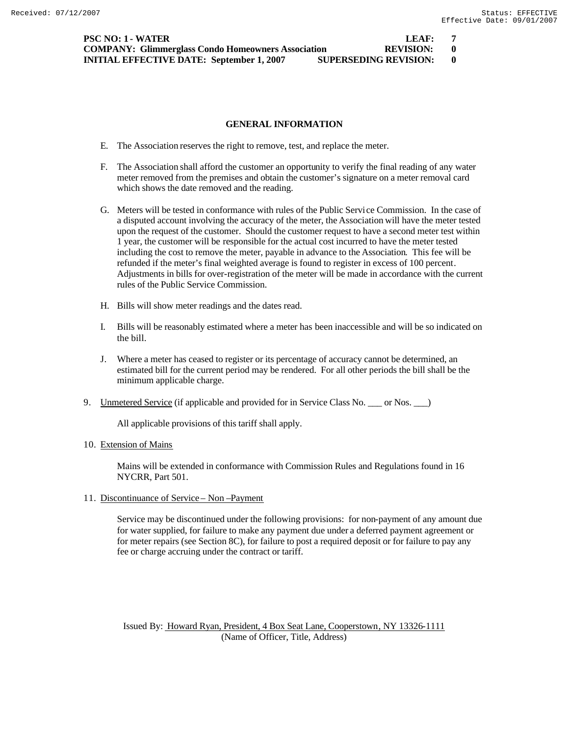**PSC NO: 1 - WATER LEAF: 7 COMPANY: Glimmerglass Condo Homeowners Association REVISION: 0 INITIAL EFFECTIVE DATE: September 1, 2007 SUPERSEDING REVISION: 0**

### **GENERAL INFORMATION**

- E. The Association reserves the right to remove, test, and replace the meter.
- F. The Association shall afford the customer an opportunity to verify the final reading of any water meter removed from the premises and obtain the customer's signature on a meter removal card which shows the date removed and the reading.
- G. Meters will be tested in conformance with rules of the Public Service Commission. In the case of a disputed account involving the accuracy of the meter, the Association will have the meter tested upon the request of the customer. Should the customer request to have a second meter test within 1 year, the customer will be responsible for the actual cost incurred to have the meter tested including the cost to remove the meter, payable in advance to the Association. This fee will be refunded if the meter's final weighted average is found to register in excess of 100 percent. Adjustments in bills for over-registration of the meter will be made in accordance with the current rules of the Public Service Commission.
- H. Bills will show meter readings and the dates read.
- I. Bills will be reasonably estimated where a meter has been inaccessible and will be so indicated on the bill.
- J. Where a meter has ceased to register or its percentage of accuracy cannot be determined, an estimated bill for the current period may be rendered. For all other periods the bill shall be the minimum applicable charge.
- 9. Unmetered Service (if applicable and provided for in Service Class No. \_\_\_ or Nos. \_\_\_)

All applicable provisions of this tariff shall apply.

10. Extension of Mains

Mains will be extended in conformance with Commission Rules and Regulations found in 16 NYCRR, Part 501.

11. Discontinuance of Service – Non –Payment

Service may be discontinued under the following provisions: for non-payment of any amount due for water supplied, for failure to make any payment due under a deferred payment agreement or for meter repairs (see Section 8C), for failure to post a required deposit or for failure to pay any fee or charge accruing under the contract or tariff.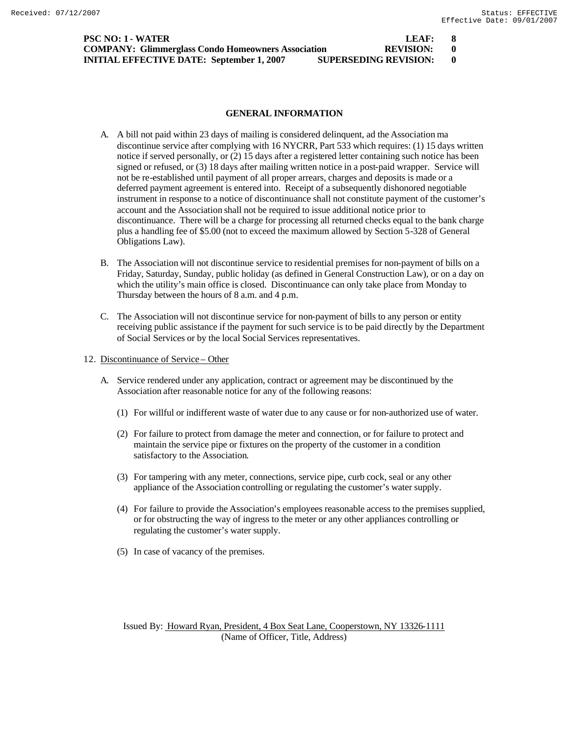| <b>PSC NO: 1 - WATER</b>                                                         | LEAF:     |                |
|----------------------------------------------------------------------------------|-----------|----------------|
| <b>COMPANY: Glimmerglass Condo Homeowners Association</b>                        | REVISION: | $\blacksquare$ |
| <b>SUPERSEDING REVISION:</b><br><b>INITIAL EFFECTIVE DATE: September 1, 2007</b> |           |                |

- A. A bill not paid within 23 days of mailing is considered delinquent, ad the Association ma discontinue service after complying with 16 NYCRR, Part 533 which requires: (1) 15 days written notice if served personally, or (2) 15 days after a registered letter containing such notice has been signed or refused, or (3) 18 days after mailing written notice in a post-paid wrapper. Service will not be re-established until payment of all proper arrears, charges and deposits is made or a deferred payment agreement is entered into. Receipt of a subsequently dishonored negotiable instrument in response to a notice of discontinuance shall not constitute payment of the customer's account and the Association shall not be required to issue additional notice prior to discontinuance. There will be a charge for processing all returned checks equal to the bank charge plus a handling fee of \$5.00 (not to exceed the maximum allowed by Section 5-328 of General Obligations Law).
- B. The Association will not discontinue service to residential premises for non-payment of bills on a Friday, Saturday, Sunday, public holiday (as defined in General Construction Law), or on a day on which the utility's main office is closed. Discontinuance can only take place from Monday to Thursday between the hours of 8 a.m. and 4 p.m.
- C. The Association will not discontinue service for non-payment of bills to any person or entity receiving public assistance if the payment for such service is to be paid directly by the Department of Social Services or by the local Social Services representatives.
- 12. Discontinuance of Service Other
	- A. Service rendered under any application, contract or agreement may be discontinued by the Association after reasonable notice for any of the following reasons:
		- (1) For willful or indifferent waste of water due to any cause or for non-authorized use of water.
		- (2) For failure to protect from damage the meter and connection, or for failure to protect and maintain the service pipe or fixtures on the property of the customer in a condition satisfactory to the Association.
		- (3) For tampering with any meter, connections, service pipe, curb cock, seal or any other appliance of the Association controlling or regulating the customer's water supply.
		- (4) For failure to provide the Association's employees reasonable access to the premises supplied, or for obstructing the way of ingress to the meter or any other appliances controlling or regulating the customer's water supply.
		- (5) In case of vacancy of the premises.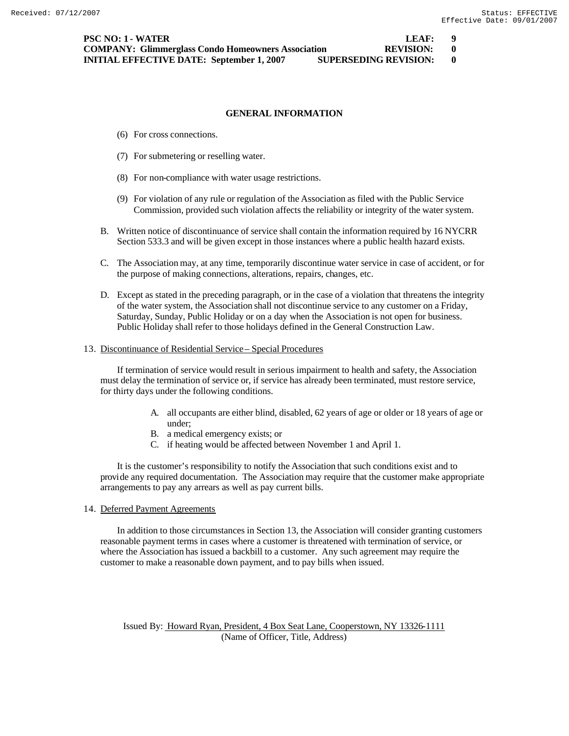- (6) For cross connections.
- (7) For submetering or reselling water.
- (8) For non-compliance with water usage restrictions.
- (9) For violation of any rule or regulation of the Association as filed with the Public Service Commission, provided such violation affects the reliability or integrity of the water system.
- B. Written notice of discontinuance of service shall contain the information required by 16 NYCRR Section 533.3 and will be given except in those instances where a public health hazard exists.
- C. The Association may, at any time, temporarily discontinue water service in case of accident, or for the purpose of making connections, alterations, repairs, changes, etc.
- D. Except as stated in the preceding paragraph, or in the case of a violation that threatens the integrity of the water system, the Association shall not discontinue service to any customer on a Friday, Saturday, Sunday, Public Holiday or on a day when the Association is not open for business. Public Holiday shall refer to those holidays defined in the General Construction Law.

#### 13. Discontinuance of Residential Service – Special Procedures

If termination of service would result in serious impairment to health and safety, the Association must delay the termination of service or, if service has already been terminated, must restore service, for thirty days under the following conditions.

- A. all occupants are either blind, disabled, 62 years of age or older or 18 years of age or under;
- B. a medical emergency exists; or
- C. if heating would be affected between November 1 and April 1.

It is the customer's responsibility to notify the Association that such conditions exist and to provide any required documentation. The Association may require that the customer make appropriate arrangements to pay any arrears as well as pay current bills.

14. Deferred Payment Agreements

In addition to those circumstances in Section 13, the Association will consider granting customers reasonable payment terms in cases where a customer is threatened with termination of service, or where the Association has issued a backbill to a customer. Any such agreement may require the customer to make a reasonable down payment, and to pay bills when issued.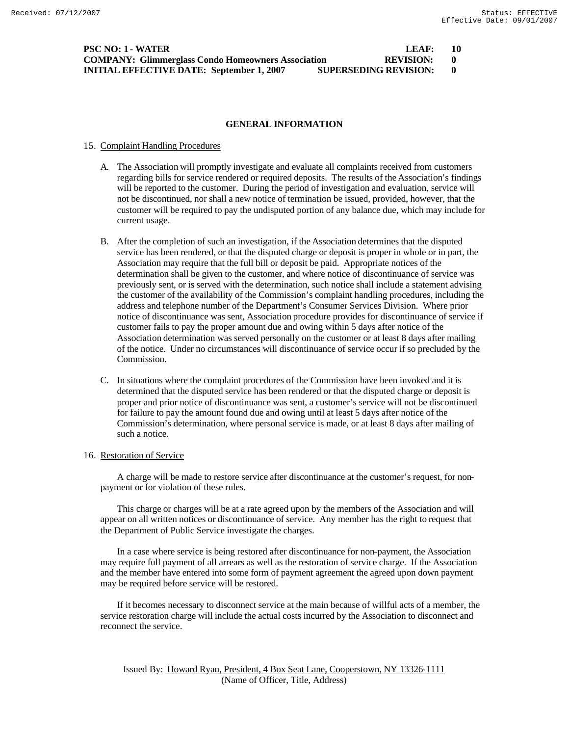| PSC NO: 1 - WATER                                                                | LEAF:            | - 10 |
|----------------------------------------------------------------------------------|------------------|------|
| <b>COMPANY: Glimmerglass Condo Homeowners Association</b>                        | <b>REVISION:</b> |      |
| <b>SUPERSEDING REVISION:</b><br><b>INITIAL EFFECTIVE DATE: September 1, 2007</b> |                  |      |

#### 15. Complaint Handling Procedures

- A. The Association will promptly investigate and evaluate all complaints received from customers regarding bills for service rendered or required deposits. The results of the Association's findings will be reported to the customer. During the period of investigation and evaluation, service will not be discontinued, nor shall a new notice of termination be issued, provided, however, that the customer will be required to pay the undisputed portion of any balance due, which may include for current usage.
- B. After the completion of such an investigation, if the Association determines that the disputed service has been rendered, or that the disputed charge or deposit is proper in whole or in part, the Association may require that the full bill or deposit be paid. Appropriate notices of the determination shall be given to the customer, and where notice of discontinuance of service was previously sent, or is served with the determination, such notice shall include a statement advising the customer of the availability of the Commission's complaint handling procedures, including the address and telephone number of the Department's Consumer Services Division. Where prior notice of discontinuance was sent, Association procedure provides for discontinuance of service if customer fails to pay the proper amount due and owing within 5 days after notice of the Association determination was served personally on the customer or at least 8 days after mailing of the notice. Under no circumstances will discontinuance of service occur if so precluded by the Commission.
- C. In situations where the complaint procedures of the Commission have been invoked and it is determined that the disputed service has been rendered or that the disputed charge or deposit is proper and prior notice of discontinuance was sent, a customer's service will not be discontinued for failure to pay the amount found due and owing until at least 5 days after notice of the Commission's determination, where personal service is made, or at least 8 days after mailing of such a notice.

#### 16. Restoration of Service

A charge will be made to restore service after discontinuance at the customer's request, for nonpayment or for violation of these rules.

This charge or charges will be at a rate agreed upon by the members of the Association and will appear on all written notices or discontinuance of service. Any member has the right to request that the Department of Public Service investigate the charges.

In a case where service is being restored after discontinuance for non-payment, the Association may require full payment of all arrears as well as the restoration of service charge. If the Association and the member have entered into some form of payment agreement the agreed upon down payment may be required before service will be restored.

If it becomes necessary to disconnect service at the main because of willful acts of a member, the service restoration charge will include the actual costs incurred by the Association to disconnect and reconnect the service.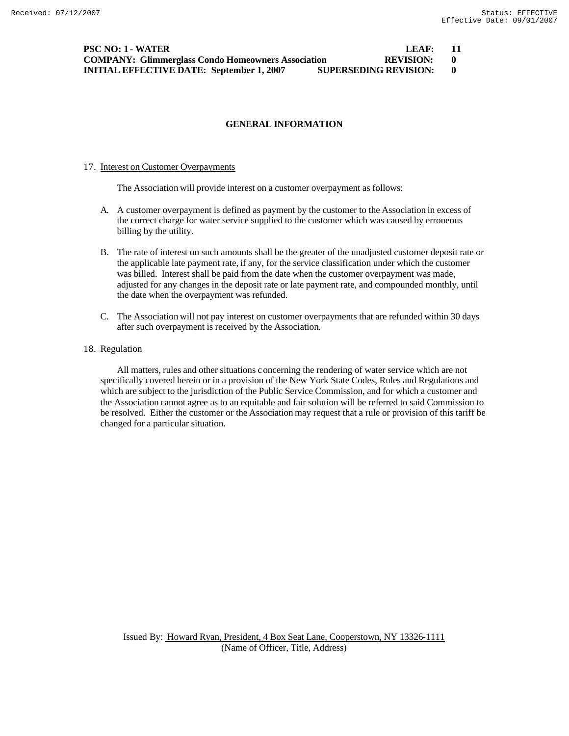| PSC NO: 1 - WATER                                                                | LEAF:            | - 11 |
|----------------------------------------------------------------------------------|------------------|------|
| <b>COMPANY: Glimmerglass Condo Homeowners Association</b>                        | <b>REVISION:</b> |      |
| <b>SUPERSEDING REVISION:</b><br><b>INITIAL EFFECTIVE DATE: September 1, 2007</b> |                  |      |

#### 17. Interest on Customer Overpayments

The Association will provide interest on a customer overpayment as follows:

- A. A customer overpayment is defined as payment by the customer to the Association in excess of the correct charge for water service supplied to the customer which was caused by erroneous billing by the utility.
- B. The rate of interest on such amounts shall be the greater of the unadjusted customer deposit rate or the applicable late payment rate, if any, for the service classification under which the customer was billed. Interest shall be paid from the date when the customer overpayment was made, adjusted for any changes in the deposit rate or late payment rate, and compounded monthly, until the date when the overpayment was refunded.
- C. The Association will not pay interest on customer overpayments that are refunded within 30 days after such overpayment is received by the Association.

### 18. Regulation

All matters, rules and other situations concerning the rendering of water service which are not specifically covered herein or in a provision of the New York State Codes, Rules and Regulations and which are subject to the jurisdiction of the Public Service Commission, and for which a customer and the Association cannot agree as to an equitable and fair solution will be referred to said Commission to be resolved. Either the customer or the Association may request that a rule or provision of this tariff be changed for a particular situation.